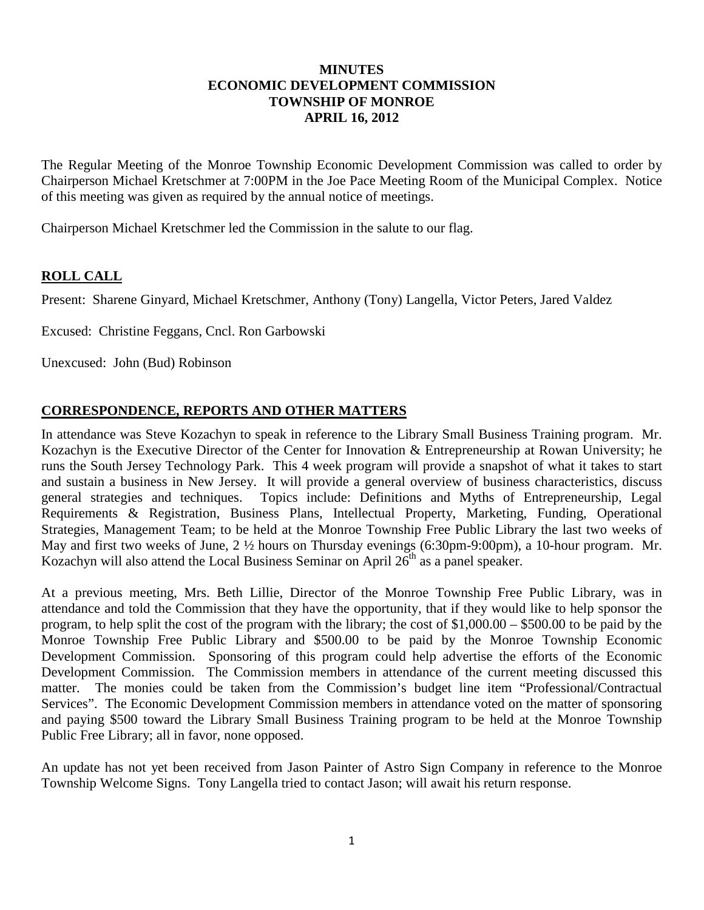## **MINUTES ECONOMIC DEVELOPMENT COMMISSION TOWNSHIP OF MONROE APRIL 16, 2012**

The Regular Meeting of the Monroe Township Economic Development Commission was called to order by Chairperson Michael Kretschmer at 7:00PM in the Joe Pace Meeting Room of the Municipal Complex. Notice of this meeting was given as required by the annual notice of meetings.

Chairperson Michael Kretschmer led the Commission in the salute to our flag.

# **ROLL CALL**

Present: Sharene Ginyard, Michael Kretschmer, Anthony (Tony) Langella, Victor Peters, Jared Valdez

Excused: Christine Feggans, Cncl. Ron Garbowski

Unexcused: John (Bud) Robinson

# **CORRESPONDENCE, REPORTS AND OTHER MATTERS**

In attendance was Steve Kozachyn to speak in reference to the Library Small Business Training program. Mr. Kozachyn is the Executive Director of the Center for Innovation & Entrepreneurship at Rowan University; he runs the South Jersey Technology Park. This 4 week program will provide a snapshot of what it takes to start and sustain a business in New Jersey. It will provide a general overview of business characteristics, discuss general strategies and techniques. Topics include: Definitions and Myths of Entrepreneurship, Legal Requirements & Registration, Business Plans, Intellectual Property, Marketing, Funding, Operational Strategies, Management Team; to be held at the Monroe Township Free Public Library the last two weeks of May and first two weeks of June, 2  $\frac{1}{2}$  hours on Thursday evenings (6:30pm-9:00pm), a 10-hour program. Mr. Kozachyn will also attend the Local Business Seminar on April  $26<sup>th</sup>$  as a panel speaker.

At a previous meeting, Mrs. Beth Lillie, Director of the Monroe Township Free Public Library, was in attendance and told the Commission that they have the opportunity, that if they would like to help sponsor the program, to help split the cost of the program with the library; the cost of \$1,000.00 – \$500.00 to be paid by the Monroe Township Free Public Library and \$500.00 to be paid by the Monroe Township Economic Development Commission. Sponsoring of this program could help advertise the efforts of the Economic Development Commission. The Commission members in attendance of the current meeting discussed this matter. The monies could be taken from the Commission's budget line item "Professional/Contractual Services". The Economic Development Commission members in attendance voted on the matter of sponsoring and paying \$500 toward the Library Small Business Training program to be held at the Monroe Township Public Free Library; all in favor, none opposed.

An update has not yet been received from Jason Painter of Astro Sign Company in reference to the Monroe Township Welcome Signs. Tony Langella tried to contact Jason; will await his return response.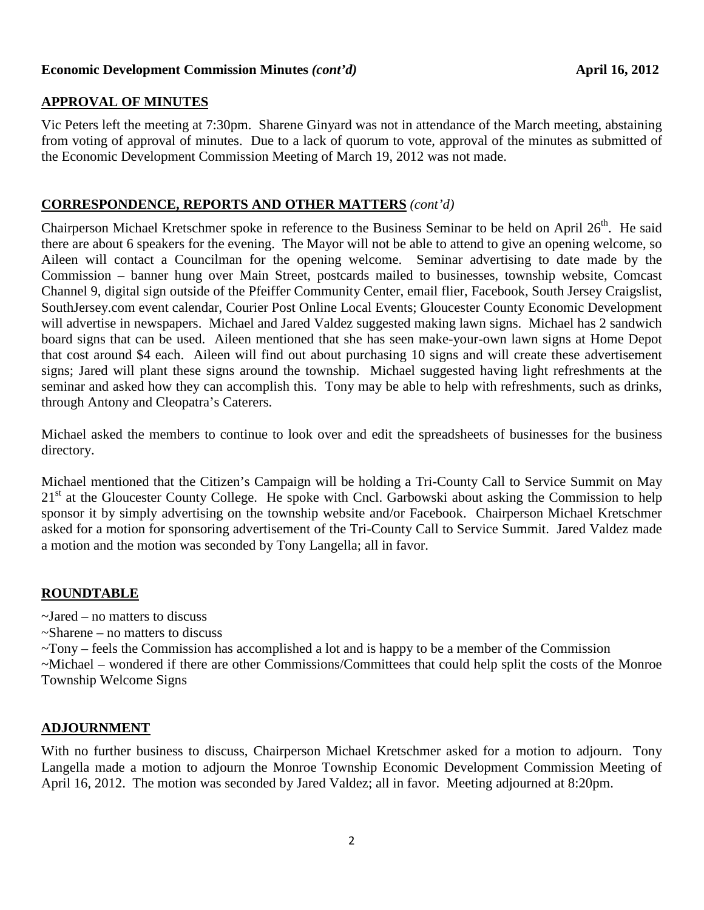## **Economic Development Commission Minutes** *(cont'd)* **April 16, 2012**

## **APPROVAL OF MINUTES**

Vic Peters left the meeting at 7:30pm. Sharene Ginyard was not in attendance of the March meeting, abstaining from voting of approval of minutes. Due to a lack of quorum to vote, approval of the minutes as submitted of the Economic Development Commission Meeting of March 19, 2012 was not made.

#### **CORRESPONDENCE, REPORTS AND OTHER MATTERS** *(cont'd)*

Chairperson Michael Kretschmer spoke in reference to the Business Seminar to be held on April 26<sup>th</sup>. He said there are about 6 speakers for the evening. The Mayor will not be able to attend to give an opening welcome, so Aileen will contact a Councilman for the opening welcome. Seminar advertising to date made by the Commission – banner hung over Main Street, postcards mailed to businesses, township website, Comcast Channel 9, digital sign outside of the Pfeiffer Community Center, email flier, Facebook, South Jersey Craigslist, SouthJersey.com event calendar, Courier Post Online Local Events; Gloucester County Economic Development will advertise in newspapers. Michael and Jared Valdez suggested making lawn signs. Michael has 2 sandwich board signs that can be used. Aileen mentioned that she has seen make-your-own lawn signs at Home Depot that cost around \$4 each. Aileen will find out about purchasing 10 signs and will create these advertisement signs; Jared will plant these signs around the township. Michael suggested having light refreshments at the seminar and asked how they can accomplish this. Tony may be able to help with refreshments, such as drinks, through Antony and Cleopatra's Caterers.

Michael asked the members to continue to look over and edit the spreadsheets of businesses for the business directory.

Michael mentioned that the Citizen's Campaign will be holding a Tri-County Call to Service Summit on May 21<sup>st</sup> at the Gloucester County College. He spoke with Cncl. Garbowski about asking the Commission to help sponsor it by simply advertising on the township website and/or Facebook. Chairperson Michael Kretschmer asked for a motion for sponsoring advertisement of the Tri-County Call to Service Summit. Jared Valdez made a motion and the motion was seconded by Tony Langella; all in favor.

## **ROUNDTABLE**

- ~Jared no matters to discuss
- ~Sharene no matters to discuss

~Tony – feels the Commission has accomplished a lot and is happy to be a member of the Commission

~Michael – wondered if there are other Commissions/Committees that could help split the costs of the Monroe Township Welcome Signs

#### **ADJOURNMENT**

With no further business to discuss, Chairperson Michael Kretschmer asked for a motion to adjourn. Tony Langella made a motion to adjourn the Monroe Township Economic Development Commission Meeting of April 16, 2012. The motion was seconded by Jared Valdez; all in favor. Meeting adjourned at 8:20pm.